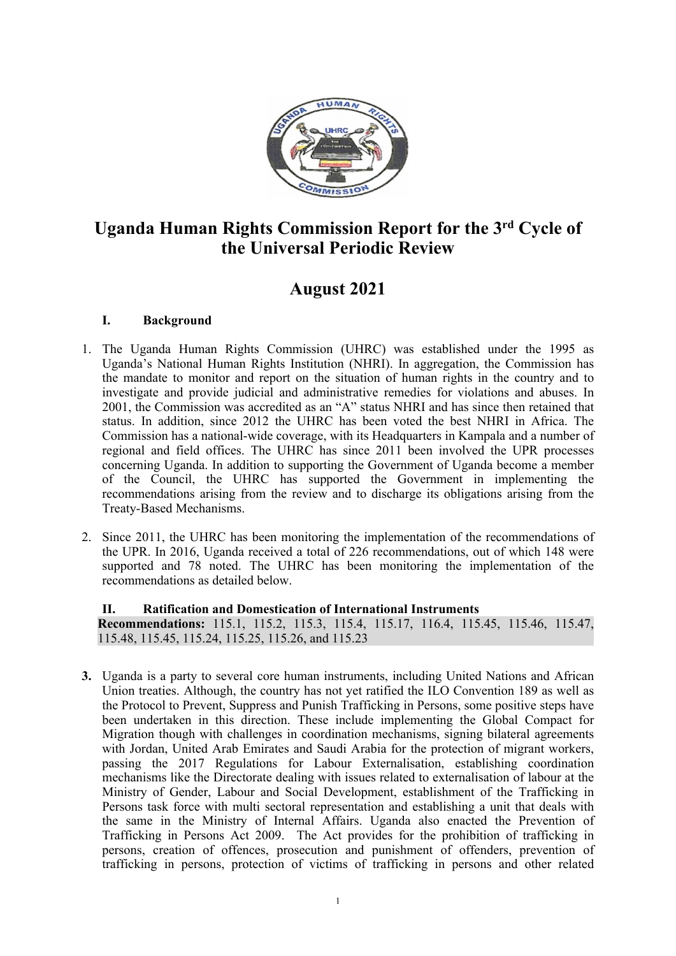

# **Uganda Human Rights Commission Report for the 3rd Cycle of the Universal Periodic Review**

# **August 2021**

# **I. Background**

- 1. The Uganda Human Rights Commission (UHRC) was established under the 1995 as Uganda'<sup>s</sup> National Human Rights Institution (NHRI). In aggregation, the Commission has the mandate to monitor and repor<sup>t</sup> on the situation of human rights in the country and to investigate and provide judicial and administrative remedies for violations and abuses. In 2001, the Commission was accredited as an "A" status NHRI and has since then retained that status. In addition, since 2012 the UHRC has been voted the best NHRI in Africa. The Commission has <sup>a</sup> national-wide coverage, with its Headquarters in Kampala and <sup>a</sup> number of regional and field offices. The UHRC has since 2011 been involved the UPR processes concerning Uganda. In addition to supporting the Government of Uganda become <sup>a</sup> member of the Council, the UHRC has supported the Government in implementing the recommendations arising from the review and to discharge its obligations arising from the Treaty-Based Mechanisms.
- 2. Since 2011, the UHRC has been monitoring the implementation of the recommendations of the UPR. In 2016, Uganda received <sup>a</sup> total of 226 recommendations, out of which 148 were supported and 78 noted. The UHRC has been monitoring the implementation of the recommendations as detailed below.

**II. Ratification and Domestication of International Instruments Recommendations:** 115.1, 115.2, 115.3, 115.4, 115.17, 116.4, 115.45, 115.46, 115.47, 115.48, 115.45, 115.24, 115.25, 115.26, and 115.23

**3.** Uganda is <sup>a</sup> party to several core human instruments, including United Nations and African Union treaties. Although, the country has not ye<sup>t</sup> ratified the ILO Convention 189 as well as the Protocol to Prevent, Suppress and Punish Trafficking in Persons, some positive steps have been undertaken in this direction. These include implementing the Global Compact for Migration though with challenges in coordination mechanisms, signing bilateral agreements with Jordan, United Arab Emirates and Saudi Arabia for the protection of migrant workers, passing the 2017 Regulations for Labour Externalisation, establishing coordination mechanisms like the Directorate dealing with issues related to externalisation of labour at the Ministry of Gender, Labour and Social Development, establishment of the Trafficking in Persons task force with multi sectoral representation and establishing <sup>a</sup> unit that deals with the same in the Ministry of Internal Affairs. Uganda also enacted the Prevention of Trafficking in Persons Act 2009. The Act provides for the prohibition of trafficking in persons, creation of offences, prosecution and punishment of offenders, prevention of trafficking in persons, protection of victims of trafficking in persons and other related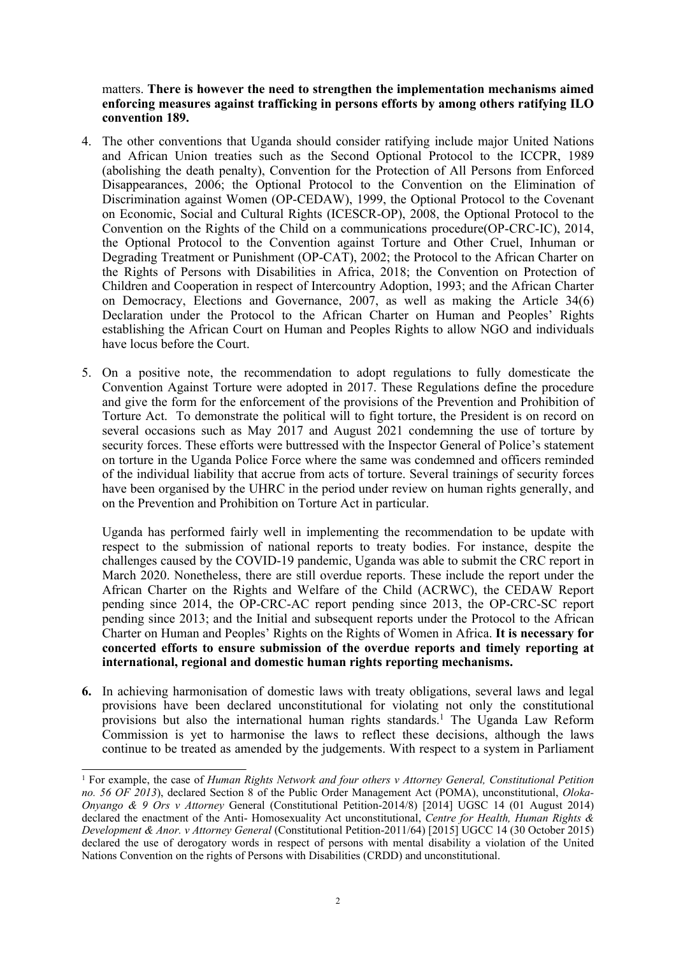matters. **There is however the need to strengthen the implementation mechanisms aimed enforcing measures against trafficking in persons efforts by among others ratifying ILO convention 189.**

- 4. The other conventions that Uganda should consider ratifying include major United Nations and African Union treaties such as the Second Optional Protocol to the ICCPR, 1989 (abolishing the death penalty), Convention for the Protection of All Persons from Enforced Disappearances, 2006; the Optional Protocol to the Convention on the Elimination of Discrimination against Women (OP-CEDAW), 1999, the Optional Protocol to the Covenant on Economic, Social and Cultural Rights (ICESCR-OP), 2008, the Optional Protocol to the Convention on the Rights of the Child on <sup>a</sup> communications procedure(OP-CRC-IC), 2014, the Optional Protocol to the Convention against Torture and Other Cruel, Inhuman or Degrading Treatment or Punishment (OP-CAT), 2002; the Protocol to the African Charter on the Rights of Persons with Disabilities in Africa, 2018; the Convention on Protection of Children and Cooperation in respec<sup>t</sup> of Intercountry Adoption, 1993; and the African Charter on Democracy, Elections and Governance, 2007, as well as making the Article 34(6) Declaration under the Protocol to the African Charter on Human and Peoples' Rights establishing the African Court on Human and Peoples Rights to allow NGO and individuals have locus before the Court.
- 5. On <sup>a</sup> positive note, the recommendation to adopt regulations to fully domesticate the Convention Against Torture were adopted in 2017. These Regulations define the procedure and give the form for the enforcement of the provisions of the Prevention and Prohibition of Torture Act. To demonstrate the political will to fight torture, the President is on record on several occasions such as May 2017 and August 2021 condemning the use of torture by security forces. These efforts were buttressed with the Inspector General of Police'<sup>s</sup> statement on torture in the Uganda Police Force where the same was condemned and officers reminded of the individual liability that accrue from acts of torture. Several trainings of security forces have been organised by the UHRC in the period under review on human rights generally, and on the Prevention and Prohibition on Torture Act in particular.

Uganda has performed fairly well in implementing the recommendation to be update with respec<sup>t</sup> to the submission of national reports to treaty bodies. For instance, despite the challenges caused by the COVID-19 pandemic, Uganda was able to submit the CRC repor<sup>t</sup> in March 2020. Nonetheless, there are still overdue reports. These include the repor<sup>t</sup> under the African Charter on the Rights and Welfare of the Child (ACRWC), the CEDAW Report pending since 2014, the OP-CRC-AC repor<sup>t</sup> pending since 2013, the OP-CRC-SC repor<sup>t</sup> pending since 2013; and the Initial and subsequent reports under the Protocol to the African Charter on Human and Peoples' Rights on the Rights of Women in Africa. **It is necessary for concerted efforts to ensure submission of the overdue reports and timely reporting at international, regional and domestic human rights reporting mechanisms.**

**6.** In achieving harmonisation of domestic laws with treaty obligations, several laws and legal provisions have been declared unconstitutional for violating not only the constitutional provisions but also the international human rights standards. 1 The Uganda Law Reform Commission is ye<sup>t</sup> to harmonise the laws to reflect these decisions, although the laws continue to be treated as amended by the judgements. With respec<sup>t</sup> to <sup>a</sup> system in Parliament

<sup>1</sup> For example, the case of *Human Rights Network and four others <sup>v</sup> Attorney General, Constitutional Petition no. 56 OF 2013*), declared Section 8 of the Public Order Management Act (POMA), unconstitutional, *Oloka-Onyango & 9 Ors <sup>v</sup> Attorney* General (Constitutional Petition-2014/8) [2014] UGSC 14 (01 August 2014) declared the enactment of the Anti- Homosexuality Act unconstitutional, *Centre for Health, Human Rights & Development & Anor. <sup>v</sup> Attorney General* (Constitutional Petition-2011/64) [2015] UGCC 14 (30 October 2015) declared the use of derogatory words in respec<sup>t</sup> of persons with mental disability <sup>a</sup> violation of the United Nations Convention on the rights of Persons with Disabilities (CRDD) and unconstitutional.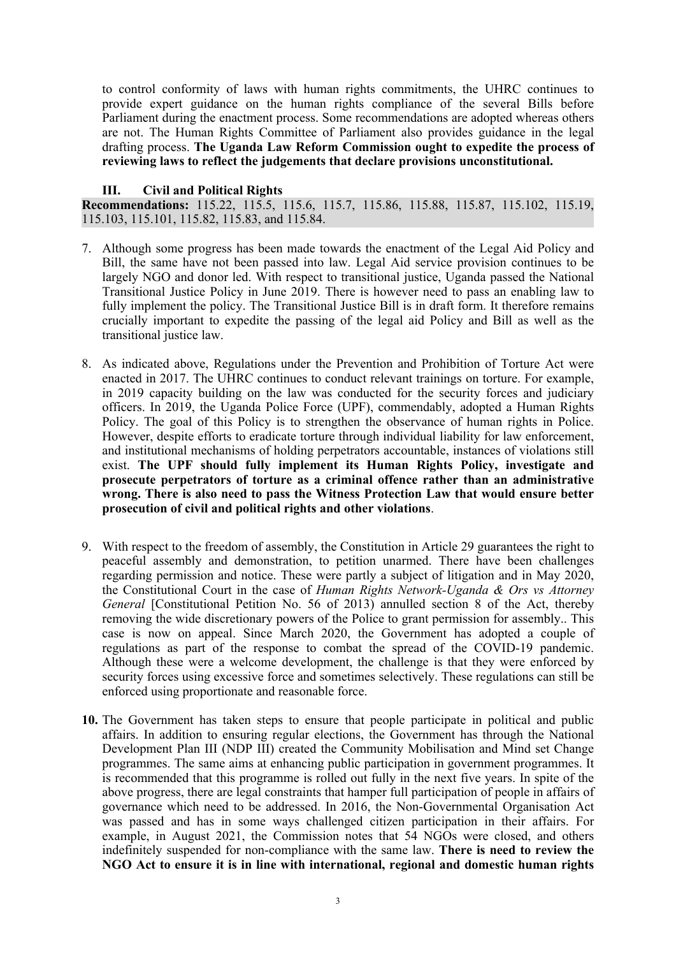to control conformity of laws with human rights commitments, the UHRC continues to provide exper<sup>t</sup> guidance on the human rights compliance of the several Bills before Parliament during the enactment process. Some recommendations are adopted whereas others are not. The Human Rights Committee of Parliament also provides guidance in the legal drafting process. **The Uganda Law Reform Commission ought to expedite the process of reviewing laws to reflect the judgements that declare provisions unconstitutional.**

#### **III. Civil and Political Rights**

**Recommendations:** 115.22, 115.5, 115.6, 115.7, 115.86, 115.88, 115.87, 115.102, 115.19, 115.103, 115.101, 115.82, 115.83, and 115.84.

- 7. Although some progress has been made towards the enactment of the Legal Aid Policy and Bill, the same have not been passed into law. Legal Aid service provision continues to be largely NGO and donor led. With respec<sup>t</sup> to transitional justice, Uganda passed the National Transitional Justice Policy in June 2019. There is however need to pass an enabling law to fully implement the policy. The Transitional Justice Bill is in draft form. It therefore remains crucially important to expedite the passing of the legal aid Policy and Bill as well as the transitional justice law.
- 8. As indicated above, Regulations under the Prevention and Prohibition of Torture Act were enacted in 2017. The UHRC continues to conduct relevant trainings on torture. For example, in 2019 capacity building on the law was conducted for the security forces and judiciary officers. In 2019, the Uganda Police Force (UPF), commendably, adopted <sup>a</sup> Human Rights Policy. The goal of this Policy is to strengthen the observance of human rights in Police. However, despite efforts to eradicate torture through individual liability for law enforcement, and institutional mechanisms of holding perpetrators accountable, instances of violations still exist. **The UPF should fully implement its Human Rights Policy, investigate and prosecute perpetrators of torture as <sup>a</sup> criminal offence rather than an administrative wrong. There is also need to pass the Witness Protection Law that would ensure better prosecution of civil and political rights and other violations**.
- 9. With respec<sup>t</sup> to the freedom of assembly, the Constitution in Article 29 guarantees the right to peaceful assembly and demonstration, to petition unarmed. There have been challenges regarding permission and notice. These were partly <sup>a</sup> subject of litigation and in May 2020, the Constitutional Court in the case of *Human Rights Network-Uganda & Ors vs Attorney General* [Constitutional Petition No. 56 of 2013) annulled section 8 of the Act, thereby removing the wide discretionary powers of the Police to gran<sup>t</sup> permission for assembly.. This case is now on appeal. Since March 2020, the Government has adopted <sup>a</sup> couple of regulations as par<sup>t</sup> of the response to combat the spread of the COVID-19 pandemic. Although these were <sup>a</sup> welcome development, the challenge is that they were enforced by security forces using excessive force and sometimes selectively. These regulations can still be enforced using proportionate and reasonable force.
- **10.** The Government has taken steps to ensure that people participate in political and public affairs. In addition to ensuring regular elections, the Government has through the National Development Plan III (NDP III) created the Community Mobilisation and Mind set Change programmes. The same aims at enhancing public participation in governmen<sup>t</sup> programmes. It is recommended that this programme is rolled out fully in the next five years. In spite of the above progress, there are legal constraints that hamper full participation of people in affairs of governance which need to be addressed. In 2016, the Non-Governmental Organisation Act was passed and has in some ways challenged citizen participation in their affairs. For example, in August 2021, the Commission notes that 54 NGOs were closed, and others indefinitely suspended for non-compliance with the same law. **There is need to review the NGO Act to ensure it is in line with international, regional and domestic human rights**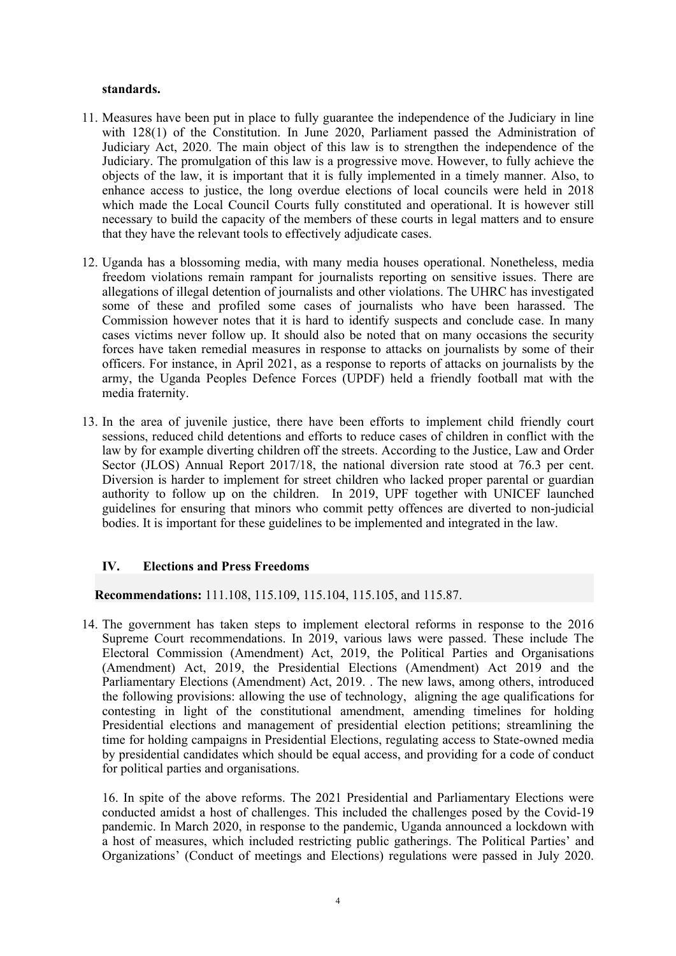#### **standards.**

- 11. Measures have been pu<sup>t</sup> in place to fully guarantee the independence of the Judiciary in line with 128(1) of the Constitution. In June 2020, Parliament passed the Administration of Judiciary Act, 2020. The main object of this law is to strengthen the independence of the Judiciary. The promulgation of this law is <sup>a</sup> progressive move. However, to fully achieve the objects of the law, it is important that it is fully implemented in <sup>a</sup> timely manner. Also, to enhance access to justice, the long overdue elections of local councils were held in 2018 which made the Local Council Courts fully constituted and operational. It is however still necessary to build the capacity of the members of these courts in legal matters and to ensure that they have the relevant tools to effectively adjudicate cases.
- 12. Uganda has <sup>a</sup> blossoming media, with many media houses operational. Nonetheless, media freedom violations remain rampan<sup>t</sup> for journalists reporting on sensitive issues. There are allegations of illegal detention of journalists and other violations. The UHRC has investigated some of these and profiled some cases of journalists who have been harassed. The Commission however notes that it is hard to identify suspects and conclude case. In many cases victims never follow up. It should also be noted that on many occasions the security forces have taken remedial measures in response to attacks on journalists by some of their officers. For instance, in April 2021, as <sup>a</sup> response to reports of attacks on journalists by the army, the Uganda Peoples Defence Forces (UPDF) held <sup>a</sup> friendly football mat with the media fraternity.
- 13. In the area of juvenile justice, there have been efforts to implement child friendly court sessions, reduced child detentions and efforts to reduce cases of children in conflict with the law by for example diverting children off the streets. According to the Justice, Law and Order Sector (JLOS) Annual Report 2017/18, the national diversion rate stood at 76.3 per cent. Diversion is harder to implement for street children who lacked proper parental or guardian authority to follow up on the children. In 2019, UPF together with UNICEF launched guidelines for ensuring that minors who commit petty offences are diverted to non-judicial bodies. It is important for these guidelines to be implemented and integrated in the law.

# **IV. Elections and Press Freedoms**

**Recommendations:** 111.108, 115.109, 115.104, 115.105, and 115.87.

14. The governmen<sup>t</sup> has taken steps to implement electoral reforms in response to the 2016 Supreme Court recommendations. In 2019, various laws were passed. These include The Electoral Commission (Amendment) Act, 2019, the Political Parties and Organisations (Amendment) Act, 2019, the Presidential Elections (Amendment) Act 2019 and the Parliamentary Elections (Amendment) Act, 2019. . The new laws, among others, introduced the following provisions: allowing the use of technology, aligning the age qualifications for contesting in light of the constitutional amendment, amending timelines for holding Presidential elections and managemen<sup>t</sup> of presidential election petitions; streamlining the time for holding campaigns in Presidential Elections, regulating access to State-owned media by presidential candidates which should be equal access, and providing for <sup>a</sup> code of conduct for political parties and organisations.

16. In spite of the above reforms. The 2021 Presidential and Parliamentary Elections were conducted amidst <sup>a</sup> host of challenges. This included the challenges posed by the Covid-19 pandemic. In March 2020, in response to the pandemic, Uganda announced <sup>a</sup> lockdown with <sup>a</sup> host of measures, which included restricting public gatherings. The Political Parties' and Organizations' (Conduct of meetings and Elections) regulations were passed in July 2020.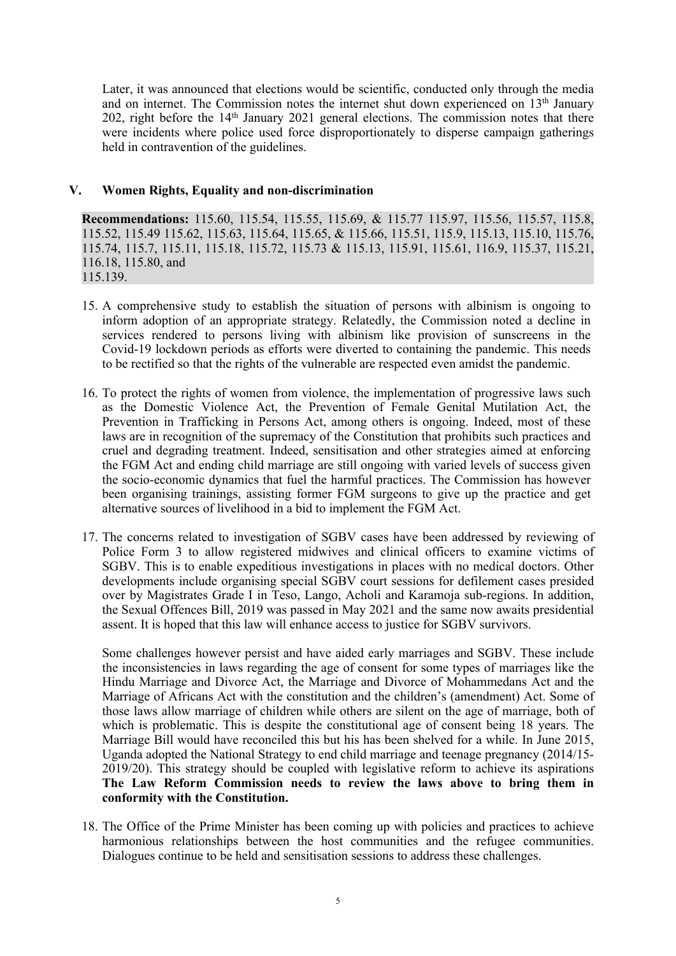Later, it was announced that elections would be scientific, conducted only through the media and on internet. The Commission notes the internet shut down experienced on 13<sup>th</sup> January 202, right before the <sup>14</sup>th January 2021 general elections. The commission notes that there were incidents where police used force disproportionately to disperse campaign gatherings held in contravention of the guidelines.

# **V. Women Rights, Equality and non-discrimination**

**Recommendations:** 115.60, 115.54, 115.55, 115.69, & 115.77 115.97, 115.56, 115.57, 115.8, 115.52, 115.49 115.62, 115.63, 115.64, 115.65, &115.66, 115.51, 115.9, 115.13, 115.10, 115.76, 115.74, 115.7, 115.11, 115.18, 115.72, 115.73 & 115.13, 115.91, 115.61, 116.9, 115.37, 115.21, 116.18, 115.80, and 115.139.

- 15. A comprehensive study to establish the situation of persons with albinism is ongoing to inform adoption of an appropriate strategy. Relatedly, the Commission noted <sup>a</sup> decline in services rendered to persons living with albinism like provision of sunscreens in the Covid-19 lockdown periods as efforts were diverted to containing the pandemic. This needs to be rectified so that the rights of the vulnerable are respected even amidst the pandemic.
- 16. To protect the rights of women from violence, the implementation of progressive laws such as the Domestic Violence Act, the Prevention of Female Genital Mutilation Act, the Prevention in Trafficking in Persons Act, among others is ongoing. Indeed, most of these laws are in recognition of the supremacy of the Constitution that prohibits such practices and cruel and degrading treatment. Indeed, sensitisation and other strategies aimed at enforcing the FGM Act and ending child marriage are still ongoing with varied levels of success given the socio-economic dynamics that fuel the harmful practices. The Commission has however been organising trainings, assisting former FGM surgeons to give up the practice and ge<sup>t</sup> alternative sources of livelihood in <sup>a</sup> bid to implement the FGM Act.
- 17. The concerns related to investigation of SGBV cases have been addressed by reviewing of Police Form 3 to allow registered midwives and clinical officers to examine victims of SGBV. This is to enable expeditious investigations in places with no medical doctors. Other developments include organising special SGBV court sessions for defilement cases presided over by Magistrates Grade I in Teso, Lango, Acholi and Karamoja sub-regions. In addition, the Sexual Offences Bill, 2019 was passed in May 2021 and the same now awaits presidential assent. It is hoped that this law will enhance access to justice for SGBV survivors.

Some challenges however persist and have aided early marriages and SGBV. These include the inconsistencies in laws regarding the age of consent for some types of marriages like the Hindu Marriage and Divorce Act, the Marriage and Divorce of Mohammedans Act and the Marriage of Africans Act with the constitution and the children'<sup>s</sup> (amendment) Act. Some of those laws allow marriage of children while others are silent on the age of marriage, both of which is problematic. This is despite the constitutional age of consent being 18 years. The Marriage Bill would have reconciled this but his has been shelved for <sup>a</sup> while. In June 2015, Uganda adopted the National Strategy to end child marriage and teenage pregnancy (2014/15- 2019/20). This strategy should be coupled with legislative reform to achieve its aspirations **The Law Reform Commission needs to review the laws above to bring them in conformity with the Constitution.**

18. The Office of the Prime Minister has been coming up with policies and practices to achieve harmonious relationships between the host communities and the refugee communities. Dialogues continue to be held and sensitisation sessions to address these challenges.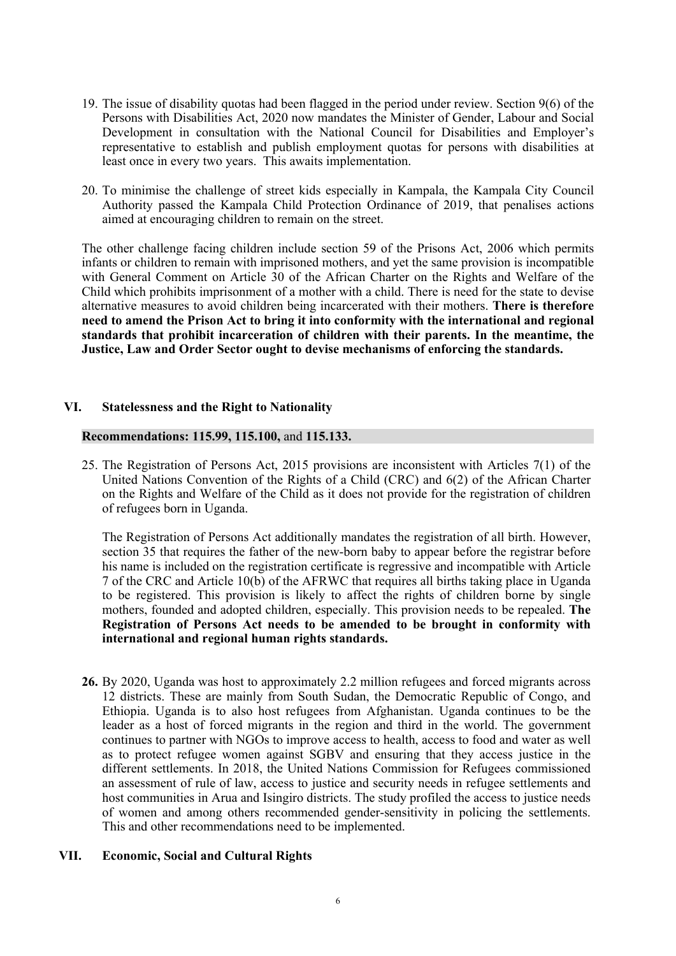- 19. The issue of disability quotas had been flagged in the period under review. Section 9(6) of the Persons with Disabilities Act, 2020 now mandates the Minister of Gender, Labour and Social Development in consultation with the National Council for Disabilities and Employer'<sup>s</sup> representative to establish and publish employment quotas for persons with disabilities at least once in every two years. This awaits implementation.
- 20. To minimise the challenge of street kids especially in Kampala, the Kampala City Council Authority passed the Kampala Child Protection Ordinance of 2019, that penalises actions aimed at encouraging children to remain on the street.

The other challenge facing children include section 59 of the Prisons Act, 2006 which permits infants or children to remain with imprisoned mothers, and ye<sup>t</sup> the same provision is incompatible with General Comment on Article 30 of the African Charter on the Rights and Welfare of the Child which prohibits imprisonment of <sup>a</sup> mother with <sup>a</sup> child. There is need for the state to devise alternative measures to avoid children being incarcerated with their mothers. **There is therefore need to amend the Prison Act to bring it into conformity with the international and regional standards that prohibit incarceration of children with their parents. In the meantime, the Justice, Law and Order Sector ought to devise mechanisms of enforcing the standards.**

# **VI. Statelessness and the Right to Nationality**

## **Recommendations: 115.99, 115.100,** and **115.133.**

25. The Registration of Persons Act, 2015 provisions are inconsistent with Articles 7(1) of the United Nations Convention of the Rights of <sup>a</sup> Child (CRC) and 6(2) of the African Charter on the Rights and Welfare of the Child as it does not provide for the registration of children of refugees born in Uganda.

The Registration of Persons Act additionally mandates the registration of all birth. However, section 35 that requires the father of the new-born baby to appear before the registrar before his name is included on the registration certificate is regressive and incompatible with Article 7 of the CRC and Article 10(b) of the AFRWC that requires all births taking place in Uganda to be registered. This provision is likely to affect the rights of children borne by single mothers, founded and adopted children, especially. This provision needs to be repealed. **The Registration of Persons Act needs to be amended to be brought in conformity with international and regional human rights standards.**

**26.** By 2020, Uganda was host to approximately 2.2 million refugees and forced migrants across 12 districts. These are mainly from South Sudan, the Democratic Republic of Congo, and Ethiopia. Uganda is to also host refugees from Afghanistan. Uganda continues to be the leader as <sup>a</sup> host of forced migrants in the region and third in the world. The governmen<sup>t</sup> continues to partner with NGOs to improve access to health, access to food and water as well as to protect refugee women against SGBV and ensuring that they access justice in the different settlements. In 2018, the United Nations Commission for Refugees commissioned an assessment of rule of law, access to justice and security needs in refugee settlements and host communities in Arua and Isingiro districts. The study profiled the access to justice needs of women and among others recommended gender-sensitivity in policing the settlements. This and other recommendations need to be implemented.

## **VII. Economic, Social and Cultural Rights**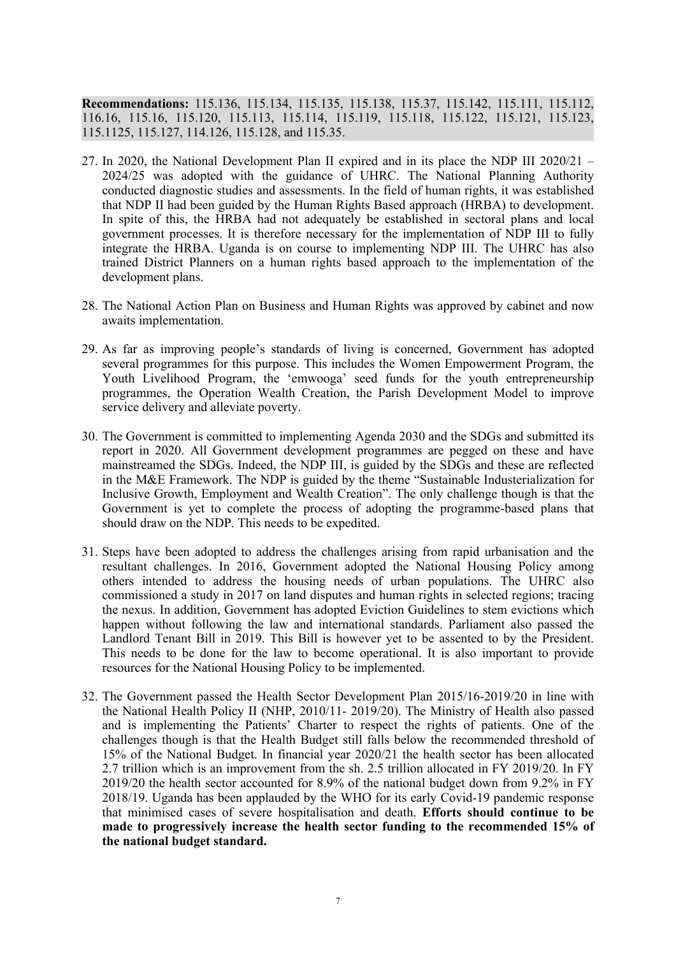**Recommendations:** 115.136, 115.134, 115.135, 115.138, 115.37, 115.142, 115.111, 115.112, 116.16, 115.16, 115.120, 115.113, 115.114, 115.119, 115.118, 115.122, 115.121, 115.123, 115.1125, 115.127, 114.126, 115.128, and 115.35.

- 27. In 2020, the National Development Plan II expired and in its place the NDP III 2020/21 2024/25 was adopted with the guidance of UHRC. The National Planning Authority conducted diagnostic studies and assessments. In the field of human rights, it was established that NDP II had been guided by the Human Rights Based approach (HRBA) to development. In spite of this, the HRBA had not adequately be established in sectoral plans and local governmen<sup>t</sup> processes. It is therefore necessary for the implementation of NDP III to fully integrate the HRBA. Uganda is on course to implementing NDP III. The UHRC has also trained District Planners on <sup>a</sup> human rights based approach to the implementation of the development plans.
- 28. The National Action Plan on Business and Human Rights was approved by cabinet and now awaits implementation.
- 29. As far as improving people'<sup>s</sup> standards of living is concerned, Government has adopted several programmes for this purpose. This includes the Women Empowerment Program, the Youth Livelihood Program, the 'emwooga' seed funds for the youth entrepreneurship programmes, the Operation Wealth Creation, the Parish Development Model to improve service delivery and alleviate poverty.
- 30. The Government is committed to implementing Agenda 2030 and the SDGs and submitted its repor<sup>t</sup> in 2020. All Government development programmes are pegged on these and have mainstreamed the SDGs. Indeed, the NDP III, is guided by the SDGs and these are reflected in the M&E Framework. The NDP is guided by the theme "Sustainable Industerialization for Inclusive Growth, Employment and Wealth Creation". The only challenge though is that the Government is ye<sup>t</sup> to complete the process of adopting the programme-based plans that should draw on the NDP. This needs to be expedited.
- 31. Steps have been adopted to address the challenges arising from rapid urbanisation and the resultant challenges. In 2016, Government adopted the National Housing Policy among others intended to address the housing needs of urban populations. The UHRC also commissioned <sup>a</sup> study in 2017 on land disputes and human rights in selected regions; tracing the nexus. In addition, Government has adopted Eviction Guidelines to stem evictions which happen without following the law and international standards. Parliament also passed the Landlord Tenant Bill in 2019. This Bill is however ye<sup>t</sup> to be assented to by the President. This needs to be done for the law to become operational. It is also important to provide resources for the National Housing Policy to be implemented.
- 32. The Government passed the Health Sector Development Plan 2015/16-2019/20 in line with the National Health Policy II (NHP, 2010/11- 2019/20). The Ministry of Health also passed and is implementing the Patients' Charter to respec<sup>t</sup> the rights of patients. One of the challenges though is that the Health Budget still falls below the recommended threshold of 15% of the National Budget. In financial year 2020/21 the health sector has been allocated 2.7 trillion which is an improvement from the sh. 2.5 trillion allocated in FY 2019/20. In FY 2019/20 the health sector accounted for 8.9% of the national budget down from 9.2% in FY 2018/19. Uganda has been applauded by the WHO for its early Covid-19 pandemic response that minimised cases of severe hospitalisation and death. **Efforts should continue to be made to progressively increase the health sector funding to the recommended 15% of the national budget standard.**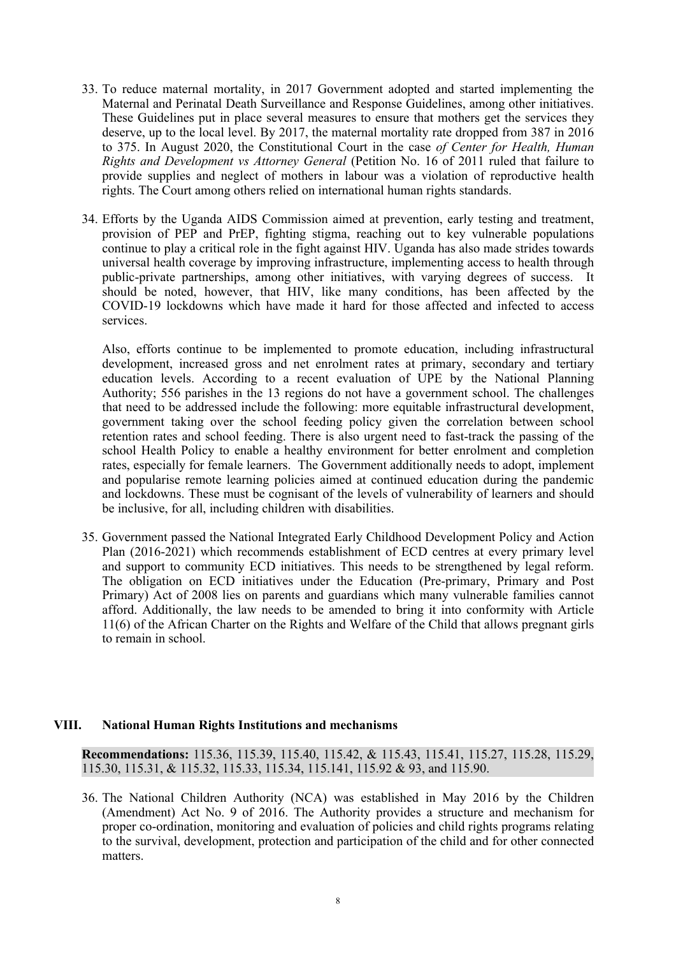- 33. To reduce maternal mortality, in 2017 Government adopted and started implementing the Maternal and Perinatal Death Surveillance and Response Guidelines, among other initiatives. These Guidelines pu<sup>t</sup> in place several measures to ensure that mothers ge<sup>t</sup> the services they deserve, up to the local level. By 2017, the maternal mortality rate dropped from 387 in 2016 to 375. In August 2020, the Constitutional Court in the case *of Center for Health, Human Rights and Development vs Attorney General* (Petition No. 16 of 2011 ruled that failure to provide supplies and neglect of mothers in labour was <sup>a</sup> violation of reproductive health rights. The Court among others relied on international human rights standards.
- 34. Efforts by the Uganda AIDS Commission aimed at prevention, early testing and treatment, provision of PEP and PrEP, fighting stigma, reaching out to key vulnerable populations continue to play <sup>a</sup> critical role in the fight against HIV. Uganda has also made strides towards universal health coverage by improving infrastructure, implementing access to health through public-private partnerships, among other initiatives, with varying degrees of success. It should be noted, however, that HIV, like many conditions, has been affected by the COVID-19 lockdowns which have made it hard for those affected and infected to access services.

Also, efforts continue to be implemented to promote education, including infrastructural development, increased gross and net enrolment rates at primary, secondary and tertiary education levels. According to <sup>a</sup> recent evaluation of UPE by the National Planning Authority; 556 parishes in the 13 regions do not have <sup>a</sup> governmen<sup>t</sup> school. The challenges that need to be addressed include the following: more equitable infrastructural development, governmen<sup>t</sup> taking over the school feeding policy given the correlation between school retention rates and school feeding. There is also urgen<sup>t</sup> need to fast-track the passing of the school Health Policy to enable <sup>a</sup> healthy environment for better enrolment and completion rates, especially for female learners. The Government additionally needs to adopt, implement and popularise remote learning policies aimed at continued education during the pandemic and lockdowns. These must be cognisant of the levels of vulnerability of learners and should be inclusive, for all, including children with disabilities.

35. Government passed the National Integrated Early Childhood Development Policy and Action Plan (2016-2021) which recommends establishment of ECD centres at every primary level and suppor<sup>t</sup> to community ECD initiatives. This needs to be strengthened by legal reform. The obligation on ECD initiatives under the Education (Pre-primary, Primary and Post Primary) Act of 2008 lies on parents and guardians which many vulnerable families cannot afford. Additionally, the law needs to be amended to bring it into conformity with Article 11(6) of the African Charter on the Rights and Welfare of the Child that allows pregnan<sup>t</sup> girls to remain in school.

## **VIII. National Human Rights Institutions and mechanisms**

**Recommendations:** 115.36, 115.39, 115.40, 115.42, &115.43, 115.41, 115.27, 115.28, 115.29, 115.30, 115.31, &115.32, 115.33, 115.34, 115.141, 115.92 & 93, and 115.90.

36. The National Children Authority (NCA) was established in May 2016 by the Children (Amendment) Act No. 9 of 2016. The Authority provides <sup>a</sup> structure and mechanism for proper co-ordination, monitoring and evaluation of policies and child rights programs relating to the survival, development, protection and participation of the child and for other connected matters.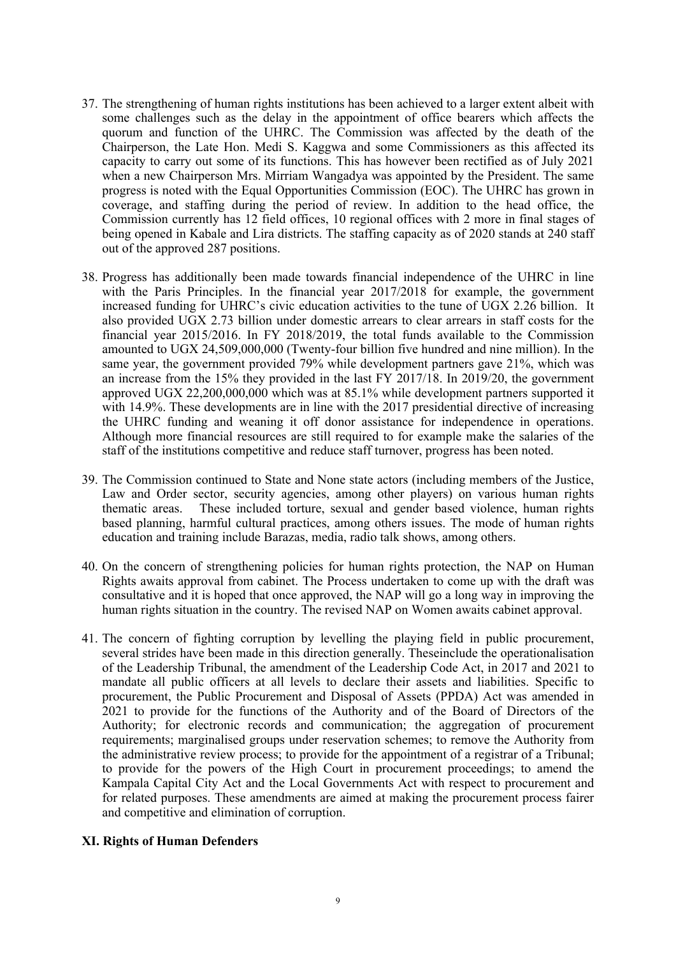- 37. The strengthening of human rights institutions has been achieved to <sup>a</sup> larger extent albeit with some challenges such as the delay in the appointment of office bearers which affects the quorum and function of the UHRC. The Commission was affected by the death of the Chairperson, the Late Hon. Medi S. Kaggwa and some Commissioners as this affected its capacity to carry out some of its functions. This has however been rectified as of July 2021 when <sup>a</sup> new Chairperson Mrs. Mirriam Wangadya was appointed by the President. The same progress is noted with the Equal Opportunities Commission (EOC). The UHRC has grown in coverage, and staffing during the period of review. In addition to the head office, the Commission currently has 12 field offices, 10 regional offices with 2 more in final stages of being opened in Kabale and Lira districts. The staffing capacity as of 2020 stands at 240 staff out of the approved 287 positions.
- 38. Progress has additionally been made towards financial independence of the UHRC in line with the Paris Principles. In the financial year 2017/2018 for example, the governmen<sup>t</sup> increased funding for UHRC'<sup>s</sup> civic education activities to the tune of UGX 2.26 billion. It also provided UGX 2.73 billion under domestic arrears to clear arrears in staff costs for the financial year 2015/2016. In FY 2018/2019, the total funds available to the Commission amounted to UGX 24,509,000,000 (Twenty-four billion five hundred and nine million). In the same year, the governmen<sup>t</sup> provided 79% while development partners gave 21%, which was an increase from the 15% they provided in the last FY 2017/18. In 2019/20, the governmen<sup>t</sup> approved UGX 22,200,000,000 which was at 85.1% while development partners supported it with 14.9%. These developments are in line with the 2017 presidential directive of increasing the UHRC funding and weaning it off donor assistance for independence in operations. Although more financial resources are still required to for example make the salaries of the staff of the institutions competitive and reduce staff turnover, progress has been noted.
- 39. The Commission continued to State and None state actors (including members of the Justice, Law and Order sector, security agencies, among other players) on various human rights thematic areas. These included torture, sexual and gender based violence, human rights based planning, harmful cultural practices, among others issues. The mode of human rights education and training include Barazas, media, radio talk shows, among others.
- 40. On the concern of strengthening policies for human rights protection, the NAP on Human Rights awaits approval from cabinet. The Process undertaken to come up with the draft was consultative and it is hoped that once approved, the NAP will go <sup>a</sup> long way in improving the human rights situation in the country. The revised NAP on Women awaits cabinet approval.
- 41. The concern of fighting corruption by levelling the playing field in public procurement, several strides have been made in this direction generally. Theseinclude the operationalisation of the Leadership Tribunal, the amendment of the Leadership Code Act, in 2017 and 2021 to mandate all public officers at all levels to declare their assets and liabilities. Specific to procurement, the Public Procurement and Disposal of Assets (PPDA) Act was amended in 2021 to provide for the functions of the Authority and of the Board of Directors of the Authority; for electronic records and communication; the aggregation of procuremen<sup>t</sup> requirements; marginalised groups under reservation schemes; to remove the Authority from the administrative review process; to provide for the appointment of <sup>a</sup> registrar of <sup>a</sup> Tribunal; to provide for the powers of the High Court in procuremen<sup>t</sup> proceedings; to amend the Kampala Capital City Act and the Local Governments Act with respec<sup>t</sup> to procuremen<sup>t</sup> and for related purposes. These amendments are aimed at making the procuremen<sup>t</sup> process fairer and competitive and elimination of corruption.

## **XI. Rights of Human Defenders**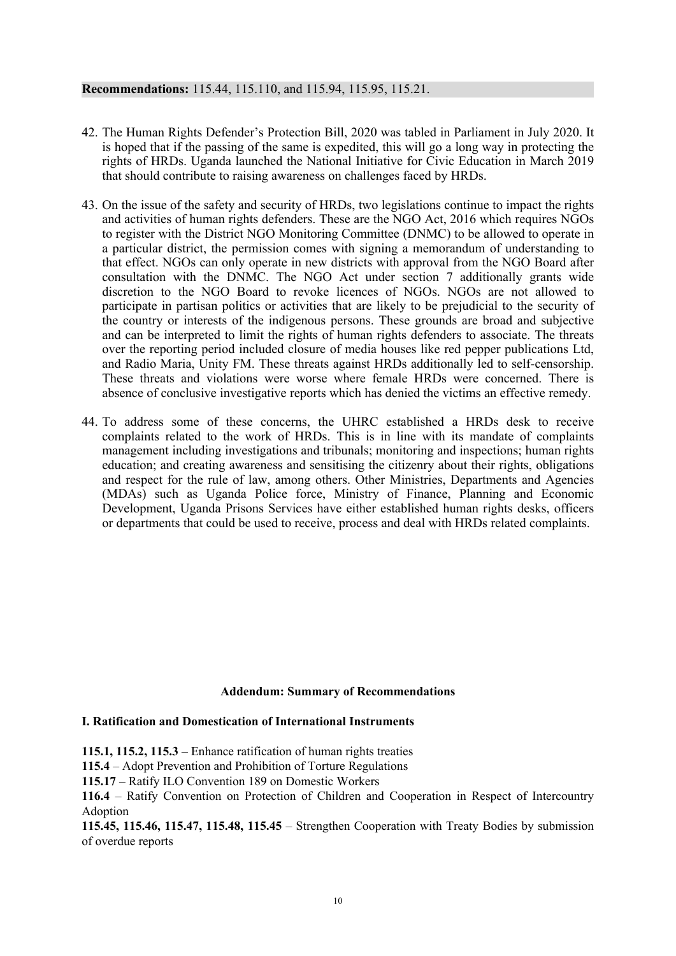# **Recommendations:** 115.44, 115.110, and 115.94, 115.95, 115.21.

- 42. The Human Rights Defender'<sup>s</sup> Protection Bill, 2020 was tabled in Parliament in July 2020. It is hoped that if the passing of the same is expedited, this will go <sup>a</sup> long way in protecting the rights of HRDs. Uganda launched the National Initiative for Civic Education in March 2019 that should contribute to raising awareness on challenges faced by HRDs.
- 43. On the issue of the safety and security of HRDs, two legislations continue to impact the rights and activities of human rights defenders. These are the NGO Act, 2016 which requires NGOs to register with the District NGO Monitoring Committee (DNMC) to be allowed to operate in <sup>a</sup> particular district, the permission comes with signing <sup>a</sup> memorandum of understanding to that effect. NGOs can only operate in new districts with approval from the NGO Board after consultation with the DNMC. The NGO Act under section 7 additionally grants wide discretion to the NGO Board to revoke licences of NGOs. NGOs are not allowed to participate in partisan politics or activities that are likely to be prejudicial to the security of the country or interests of the indigenous persons. These grounds are broad and subjective and can be interpreted to limit the rights of human rights defenders to associate. The threats over the reporting period included closure of media houses like red pepper publications Ltd, and Radio Maria, Unity FM. These threats against HRDs additionally led to self-censorship. These threats and violations were worse where female HRDs were concerned. There is absence of conclusive investigative reports which has denied the victims an effective remedy.
- 44. To address some of these concerns, the UHRC established <sup>a</sup> HRDs desk to receive complaints related to the work of HRDs. This is in line with its mandate of complaints managemen<sup>t</sup> including investigations and tribunals; monitoring and inspections; human rights education; and creating awareness and sensitising the citizenry about their rights, obligations and respec<sup>t</sup> for the rule of law, among others. Other Ministries, Departments and Agencies (MDAs) such as Uganda Police force, Ministry of Finance, Planning and Economic Development, Uganda Prisons Services have either established human rights desks, officers or departments that could be used to receive, process and deal with HRDs related complaints.

## **Addendum: Summary of Recommendations**

## **I. Ratification and Domestication of International Instruments**

**115.1, 115.2, 115.3** – Enhance ratification of human rights treaties

**115.4** – Adopt Prevention and Prohibition of Torture Regulations

**115.17** – Ratify ILO Convention 189 on Domestic Workers

**116.4** – Ratify Convention on Protection of Children and Cooperation in Respect of Intercountry Adoption

**115.45, 115.46, 115.47, 115.48, 115.45** – Strengthen Cooperation with Treaty Bodies by submission of overdue reports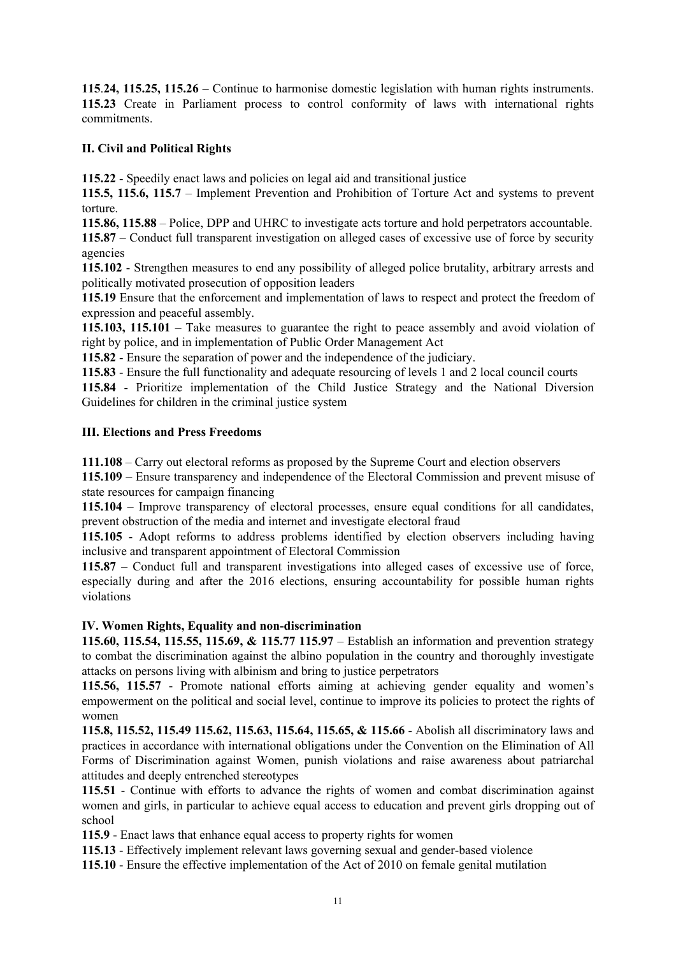**115**.**24, 115.25, 115.26** – Continue to harmonise domestic legislation with human rights instruments. **115.23** Create in Parliament process to control conformity of laws with international rights commitments.

# **II. Civil and Political Rights**

**115.22** - Speedily enact laws and policies on legal aid and transitional justice

**115.5, 115.6, 115.7** – Implement Prevention and Prohibition of Torture Act and systems to preven<sup>t</sup> torture.

**115.86, 115.88** – Police, DPP and UHRC to investigate acts torture and hold perpetrators accountable.

**115.87** – Conduct full transparent investigation on alleged cases of excessive use of force by security agencies

**115.102** - Strengthen measures to end any possibility of alleged police brutality, arbitrary arrests and politically motivated prosecution of opposition leaders

**115.19** Ensure that the enforcement and implementation of laws to respec<sup>t</sup> and protect the freedom of expression and peaceful assembly.

**115.103, 115.101** – Take measures to guarantee the right to peace assembly and avoid violation of right by police, and in implementation of Public Order Management Act

**115.82** - Ensure the separation of power and the independence of the judiciary.

**115.83** - Ensure the full functionality and adequate resourcing of levels 1 and 2 local council courts

**115.84** - Prioritize implementation of the Child Justice Strategy and the National Diversion Guidelines for children in the criminal justice system

# **III. Elections and Press Freedoms**

**111.108** – Carry out electoral reforms as proposed by the Supreme Court and election observers

**115.109** – Ensure transparency and independence of the Electoral Commission and preven<sup>t</sup> misuse of state resources for campaign financing

**115.104** – Improve transparency of electoral processes, ensure equal conditions for all candidates, preven<sup>t</sup> obstruction of the media and internet and investigate electoral fraud

**115.105** - Adopt reforms to address problems identified by election observers including having inclusive and transparent appointment of Electoral Commission

**115.87** – Conduct full and transparent investigations into alleged cases of excessive use of force, especially during and after the 2016 elections, ensuring accountability for possible human rights violations

# **IV. Women Rights, Equality and non-discrimination**

**115.60, 115.54, 115.55, 115.69, & 115.77 115.97** – Establish an information and prevention strategy to combat the discrimination against the albino population in the country and thoroughly investigate attacks on persons living with albinism and bring to justice perpetrators

**115.56, 115.57** - Promote national efforts aiming at achieving gender equality and women'<sup>s</sup> empowermen<sup>t</sup> on the political and social level, continue to improve its policies to protect the rights of women

**115.8, 115.52, 115.49 115.62, 115.63, 115.64, 115.65, & 115.66** - Abolish all discriminatory laws and practices in accordance with international obligations under the Convention on the Elimination of All Forms of Discrimination against Women, punish violations and raise awareness about patriarchal attitudes and deeply entrenched stereotypes

**115.51** - Continue with efforts to advance the rights of women and combat discrimination against women and girls, in particular to achieve equal access to education and preven<sup>t</sup> girls dropping out of school

**115.9** - Enact laws that enhance equal access to property rights for women

**115.13** - Effectively implement relevant laws governing sexual and gender-based violence

**115.10** - Ensure the effective implementation of the Act of 2010 on female genital mutilation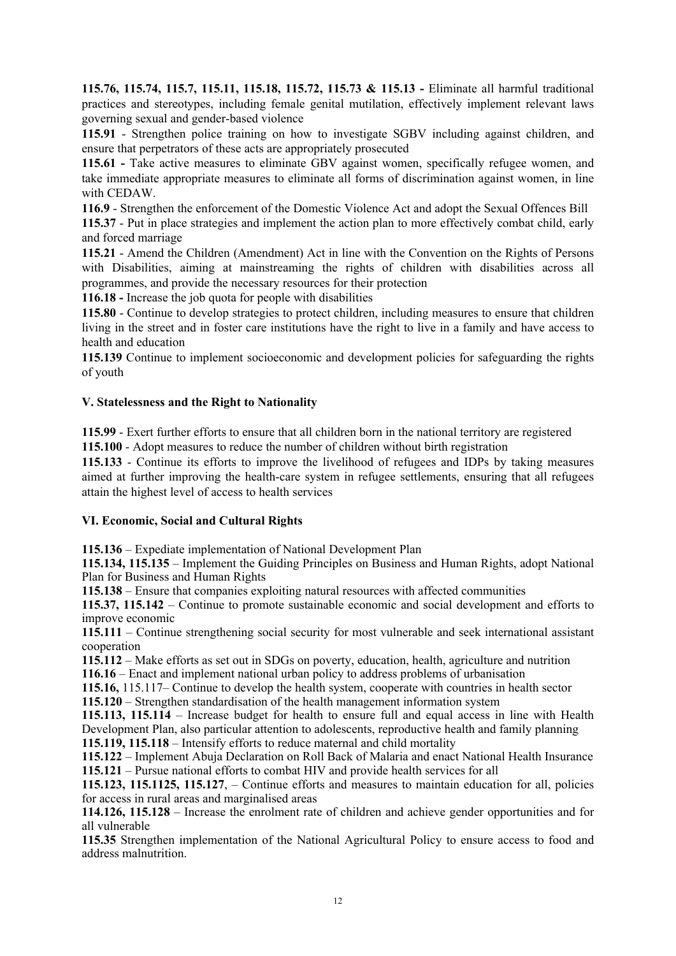**115.76, 115.74, 115.7, 115.11, 115.18, 115.72, 115.73 & 115.13 -** Eliminate all harmful traditional practices and stereotypes, including female genital mutilation, effectively implement relevant laws governing sexual and gender-based violence

**115.91** - Strengthen police training on how to investigate SGBV including against children, and ensure that perpetrators of these acts are appropriately prosecuted

**115.61 -** Take active measures to eliminate GBV against women, specifically refugee women, and take immediate appropriate measures to eliminate all forms of discrimination against women, in line with CEDAW.

**116.9** - Strengthen the enforcement of the Domestic Violence Act and adopt the Sexual Offences Bill

**115.37** - Put in place strategies and implement the action plan to more effectively combat child, early and forced marriage

**115.21** - Amend the Children (Amendment) Act in line with the Convention on the Rights of Persons with Disabilities, aiming at mainstreaming the rights of children with disabilities across all programmes, and provide the necessary resources for their protection

**116.18 -** Increase the job quota for people with disabilities

**115.80** - Continue to develop strategies to protect children, including measures to ensure that children living in the street and in foster care institutions have the right to live in <sup>a</sup> family and have access to health and education

**115.139** Continue to implement socioeconomic and development policies for safeguarding the rights of youth

# **V. Statelessness and the Right to Nationality**

**115.99** - Exert further efforts to ensure that all children born in the national territory are registered

**115.100** - Adopt measures to reduce the number of children without birth registration

**115.133** - Continue its efforts to improve the livelihood of refugees and IDPs by taking measures aimed at further improving the health-care system in refugee settlements, ensuring that all refugees attain the highest level of access to health services

## **VI. Economic, Social and Cultural Rights**

**115.136** – Expediate implementation of National Development Plan

**115.134, 115.135** – Implement the Guiding Principles on Business and Human Rights, adopt National Plan for Business and Human Rights

**115.138** – Ensure that companies exploiting natural resources with affected communities

**115.37, 115.142** – Continue to promote sustainable economic and social development and efforts to improve economic

**115.111** – Continue strengthening social security for most vulnerable and seek international assistant cooperation

**115.112** – Make efforts as set out in SDGs on poverty, education, health, agriculture and nutrition **116.16** – Enact and implement national urban policy to address problems of urbanisation

**115.16,** 115.117– Continue to develop the health system, cooperate with countries in health sector **115.120** – Strengthen standardisation of the health managemen<sup>t</sup> information system

**115.113, 115.114** – Increase budget for health to ensure full and equal access in line with Health Development Plan, also particular attention to adolescents, reproductive health and family planning

**115.119, 115.118** – Intensify efforts to reduce maternal and child mortality

**115.122** – Implement Abuja Declaration on Roll Back of Malaria and enact National Health Insurance **115.121** – Pursue national efforts to combat HIV and provide health services for all

**115.123, 115.1125, 115.127**, – Continue efforts and measures to maintain education for all, policies for access in rural areas and marginalised areas

**114.126, 115.128** – Increase the enrolment rate of children and achieve gender opportunities and for all vulnerable

**115.35** Strengthen implementation of the National Agricultural Policy to ensure access to food and address malnutrition.